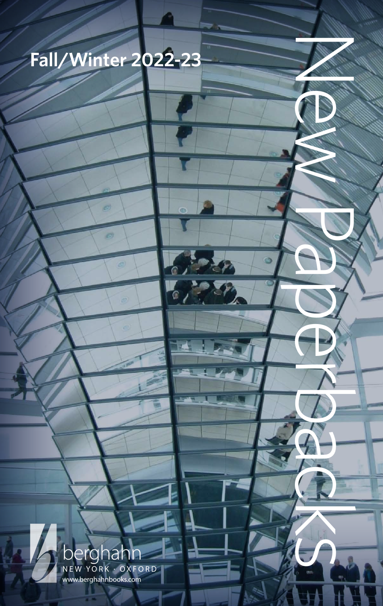

a

 $\epsilon$ 

r.

 $\mathbb{Z}^p$ 

**POST** 

New Paper Paper

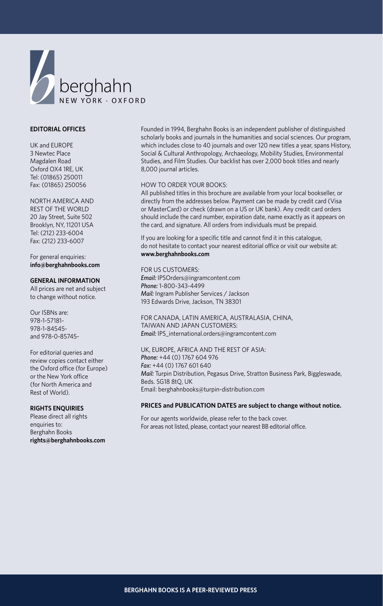

#### **EDITORIAL OFFICES**

UK and EUROPE 3 Newtec Place Magdalen Road Oxford OX4 1RE, UK Tel: (01865) 250011 Fax: (01865) 250056

### NORTH AMERICA AND

REST OF THE WORLD 20 Jay Street, Suite 502 Brooklyn, NY, 11201 USA Tel: (212) 233-6004 Fax: (212) 233-6007

For general enquiries: **info@berghahnbooks.com**

#### **GENERAL INFORMATION**

All prices are net and subject to change without notice.

Our ISBNs are: 978-1-57181- 978-1-84545 and 978-0-85745-

For editorial queries and review copies contact either the Oxford office (for Europe) or the New York office (for North America and Rest of World).

#### **RIGHTS ENQUIRIES**

Please direct all rights enquiries to: Berghahn Books **rights@berghahnbooks.com** Founded in 1994, Berghahn Books is an independent publisher of distinguished scholarly books and journals in the humanities and social sciences. Our program, which includes close to 40 journals and over 120 new titles a year, spans History, Social & Cultural Anthropology, Archaeology, Mobility Studies, Environmental Studies, and Film Studies. Our backlist has over 2,000 book titles and nearly 8,000 journal articles.

#### HOW TO ORDER YOUR BOOKS:

All published titles in this brochure are available from your local bookseller, or directly from the addresses below. Payment can be made by credit card (Visa or MasterCard) or check (drawn on a US or UK bank). Any credit card orders should include the card number, expiration date, name exactly as it appears on the card, and signature. All orders from individuals must be prepaid.

If you are looking for a specific title and cannot find it in this catalogue, do not hesitate to contact your nearest editorial office or visit our website at: **www.berghahnbooks.com**

#### FOR US CUSTOMERS:

*Email:* IPSOrders@ingramcontent.com *Phone:* 1-800-343-4499 *Mail:* Ingram Publisher Services / Jackson 193 Edwards Drive, Jackson, TN 38301

FOR CANADA, LATIN AMERICA, AUSTRALASIA, CHINA, TAIWAN AND JAPAN CUSTOMERS: *Email:* IPS\_international.orders@ingramcontent.com

UK, EUROPE, AFRICA AND THE REST OF ASIA: *Phone:* +44 (0) 1767 604 976 *Fax:* +44 (0) 1767 601 640 *Mail:* Turpin Distribution, Pegasus Drive, Stratton Business Park, Biggleswade, Beds. SG18 8tQ, UK Email: berghahnbooks@turpin-distribution.com

#### **PRICES and PUBLICATION DATES are subject to change without notice.**

For our agents worldwide, please refer to the back cover. For areas not listed, please, contact your nearest BB editorial office.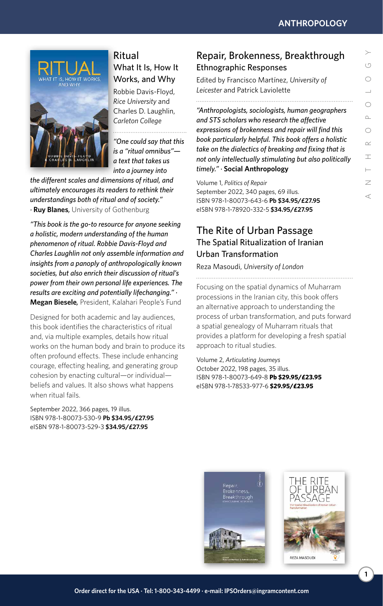

### Ritual [What It Is, How It](http://www.berghahnbooks.com/title/Davis-FloydRitual)  Works, and Why

Robbie Davis-Floyd, *Rice University* and Charles D. Laughlin, *Carleton College*

*"One could say that this is a "ritual omnibus" a text that takes us into a journey into* 

*the different scales and dimensions of ritual, and ultimately encourages its readers to rethink their understandings both of ritual and of society." ·* **Ruy Blanes***,* University of Gothenburg

*"This book is the go-to resource for anyone seeking a holistic, modern understanding of the human phenomenon of ritual. Robbie Davis-Floyd and Charles Laughlin not only assemble information and insights from a panoply of anthropologically known societies, but also enrich their discussion of ritual's power from their own personal life experiences. The results are exciting and potentially lifechanging." ·*  **Megan Biesele***,* President, Kalahari People's Fund

Designed for both academic and lay audiences, this book identifies the characteristics of ritual and, via multiple examples, details how ritual works on the human body and brain to produce its often profound effects. These include enhancing courage, effecting healing, and generating group cohesion by enacting cultural—or individual beliefs and values. It also shows what happens when ritual fails.

September 2022, 366 pages, 19 illus. ISBN 978-1-80073-530-9 **Pb \$34.95/£27.95** eISBN 978-1-80073-529-3 **\$34.95/£27.95**

### [Repair, Brokenness, Breakthrough](http://www.berghahnbooks.com/title/MartinezRepair) Ethnographic Responses

Edited by Francisco Martínez, *University of Leicester* and Patrick Laviolette

*"Anthropologists, sociologists, human geographers and STS scholars who research the affective expressions of brokenness and repair will find this book particularly helpful. This book offers a holistic take on the dialectics of breaking and fixing that is not only intellectually stimulating but also politically timely." ·* **Social Anthropology**

Volume 1, *Politics of Repair* September 2022, 340 pages, 69 illus. ISBN 978-1-80073-643-6 **Pb \$34.95/£27.95** eISBN 978-1-78920-332-5 **\$34.95/£27.95**

## [The Rite of Urban Passage](http://www.berghahnbooks.com/title/MasoudiRite) The Spatial Ritualization of Iranian Urban Transformation

Reza Masoudi, *University of London*

Focusing on the spatial dynamics of Muharram processions in the Iranian city, this book offers an alternative approach to understanding the process of urban transformation, and puts forward a spatial genealogy of Muharram rituals that provides a platform for developing a fresh spatial approach to ritual studies.

Volume 2, *Articulating Journeys* October 2022, 198 pages, 35 illus. ISBN 978-1-80073-649-8 **Pb \$29.95/£23.95** eISBN 978-1-78533-977-6 **\$29.95/£23.95**



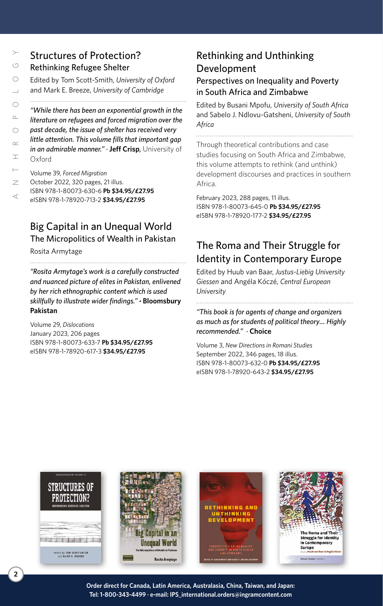## [Structures of Protection?](http://www.berghahnbooks.com/title/Scott-SmithStructures) Rethinking Refugee Shelter

Edited by Tom Scott-Smith, *University of Oxford* and Mark E. Breeze, *University of Cambridge*

*"While there has been an exponential growth in the literature on refugees and forced migration over the past decade, the issue of shelter has received very little attention. This volume fills that important gap in an admirable manner." ·* **Jeff Crisp***,* University of Oxford

Volume 39, *Forced Migration* October 2022, 320 pages, 21 illus. ISBN 978-1-80073-630-6 **Pb \$34.95/£27.95** eISBN 978-1-78920-713-2 **\$34.95/£27.95**

# [Big Capital in an Unequal World](http://www.berghahnbooks.com/title/ArmytageBig) The Micropolitics of Wealth in Pakistan

Rosita Armytage

*"Rosita Armytage's work is a carefully constructed and nuanced picture of elites in Pakistan, enlivened by her rich ethnographic content which is used skillfully to illustrate wider findings."* **· Bloomsbury Pakistan**

Volume 29, *Dislocations* January 2023, 206 pages ISBN 978-1-80073-633-7 **Pb \$34.95/£27.95** eISBN 978-1-78920-617-3 **\$34.95/£27.95**

# [Rethinking and Unthinking](http://www.berghahnbooks.com/title/MpofuRethinking)  Development

### Perspectives on Inequality and Poverty in South Africa and Zimbabwe

Edited by Busani Mpofu, *University of South Africa* and Sabelo J. Ndlovu-Gatsheni, *University of South Africa*

Through theoretical contributions and case studies focusing on South Africa and Zimbabwe, this volume attempts to rethink (and unthink) development discourses and practices in southern Africa.

February 2023, 288 pages, 11 illus. ISBN 978-1-80073-645-0 **Pb \$34.95/£27.95** eISBN 978-1-78920-177-2 **\$34.95/£27.95**

# [The Roma and Their Struggle for](http://www.berghahnbooks.com/title/KoczeRoma)  Identity in Contemporary Europe

Edited by Huub van Baar, *Justus-Liebig University Giessen* and Angéla Kóczé, *Central European University*

*"This book is for agents of change and organizers as much as for students of political theory… Highly recommended." ·* **Choice**

Volume 3, *New Directions in Romani Studies* September 2022, 346 pages, 18 illus. ISBN 978-1-80073-632-0 **Pb \$34.95/£27.95** eISBN 978-1-78920-643-2 **\$34.95/£27.95**



**Order direct for Canada, Latin America, Australasia, China, Taiwan, and Japan: Tel: 1-800-343-4499 · e-mail: IPS\_international.orders@ingramcontent.com**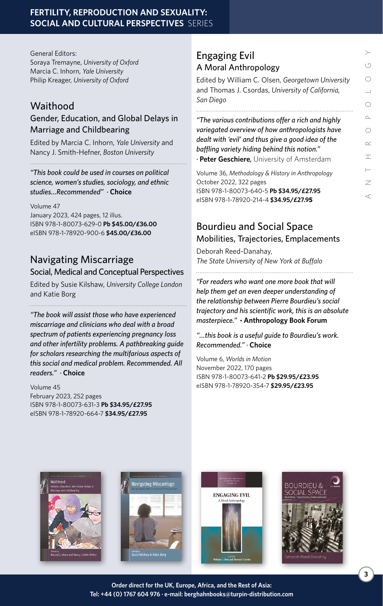General Editors: Soraya Tremayne, *University of Oxford* Marcia C. Inhorn, *Yale University* Philip Kreager, *University of Oxford*

# **Waithood**

### [Gender, Education, and Global Delays in](http://www.berghahnbooks.com/title/InhornWaithood)  Marriage and Childbearing

Edited by Marcia C. Inhorn, *Yale University* and Nancy J. Smith-Hefner, *Boston University*

*"This book could be used in courses on political science, women's studies, sociology, and ethnic studies…Recommended" ·* **Choice**

Volume 47 January 2023, 424 pages, 12 illus. ISBN 978-1-80073-629-0 **Pb \$45.00/£36.00** eISBN 978-1-78920-900-6 **\$45.00/£36.00**

# Navigating Miscarriage

### [Social, Medical and Conceptual Perspectives](http://www.berghahnbooks.com/title/KilshawNavigating)

Edited by Susie Kilshaw, *University College London* and Katie Borg

*"The book will assist those who have experienced miscarriage and clinicians who deal with a broad spectrum of patients experiencing pregnancy loss and other infertility problems. A pathbreaking guide for scholars researching the multifarious aspects of this social and medical problem. Recommended. All readers." ·* **Choice**

#### Volume 45

February 2023, 252 pages ISBN 978-1-80073-631-3 **Pb \$34.95/£27.95** eISBN 978-1-78920-664-7 **\$34.95/£27.95**

## Engaging Evil [A Moral Anthropology](http://www.berghahnbooks.com/title/OlsenEngaging)

Edited by William C. Olsen, *Georgetown University*  and Thomas J. Csordas, *University of California, San Diego*

*"The various contributions offer a rich and highly variegated overview of how anthropologists have dealt with 'evil' and thus give a good idea of the baffling variety hiding behind this notion." ·* **Peter Geschiere***,* University of Amsterdam

Volume 36, *Methodology & History in Anthropology* October 2022, 322 pages ISBN 978-1-80073-640-5 **Pb \$34.95/£27.95** eISBN 978-1-78920-214-4 **\$34.95/£27.95**

# Bourdieu and Social Space [Mobilities, Trajectories, Emplacements](http://www.berghahnbooks.com/title/Reed-DanahayBourdieu)

Deborah Reed-Danahay, *The State University of New York at Buffalo*

*"For readers who want one more book that will help them get an even deeper understanding of the relationship between Pierre Bourdieu's social trajectory and his scientific work, this is an absolute masterpiece."* **· Anthropology Book Forum**

*"…this book is a useful guide to Bourdieu's work. Recommended." ·* **Choice**

Volume 6, *Worlds in Motion* November 2022, 170 pages ISBN 978-1-80073-641-2 **Pb \$29.95/£23.95** eISBN 978-1-78920-354-7 **\$29.95/£23.95**







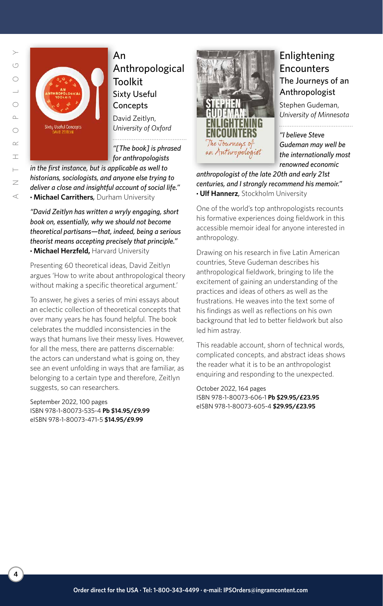

An [Anthropological](http://www.berghahnbooks.com/title/ZeitlynAnthropological)  Toolkit Sixty Useful **Concepts** 

David Zeitlyn, *University of Oxford*

*"[The book] is phrased for anthropologists* 

*in the first instance, but is applicable as well to historians, sociologists, and anyone else trying to deliver a close and insightful account of social life."* 

**· Michael Carrithers***,* Durham University

*"David Zeitlyn has written a wryly engaging, short book on, essentially, why we should not become theoretical partisans—that, indeed, being a serious theorist means accepting precisely that principle."*  **· Michael Herzfeld,** Harvard University

Presenting 60 theoretical ideas, David Zeitlyn argues 'How to write about anthropological theory without making a specific theoretical argument.'

To answer, he gives a series of mini essays about an eclectic collection of theoretical concepts that over many years he has found helpful. The book celebrates the muddled inconsistencies in the ways that humans live their messy lives. However, for all the mess, there are patterns discernable: the actors can understand what is going on, they see an event unfolding in ways that are familiar, as belonging to a certain type and therefore, Zeitlyn suggests, so can researchers.

September 2022, 100 pages ISBN 978-1-80073-535-4 **Pb \$14.95/£9.99** eISBN 978-1-80073-471-5 **\$14.95/£9.99**



### Enlightening **Encounters** [The Journeys of an](http://www.berghahnbooks.com/title/GudemanEnlightening)  Anthropologist

Stephen Gudeman, *University of Minnesota* 

*"I believe Steve Gudeman may well be the internationally most renowned economic* 

*anthropologist of the late 20th and early 21st centuries, and I strongly recommend his memoir."*  **· Ulf Hannerz***,* Stockholm University

One of the world's top anthropologists recounts his formative experiences doing fieldwork in this accessible memoir ideal for anyone interested in anthropology.

Drawing on his research in five Latin American countries, Steve Gudeman describes his anthropological fieldwork, bringing to life the excitement of gaining an understanding of the practices and ideas of others as well as the frustrations. He weaves into the text some of his findings as well as reflections on his own background that led to better fieldwork but also led him astray.

This readable account, shorn of technical words, complicated concepts, and abstract ideas shows the reader what it is to be an anthropologist enquiring and responding to the unexpected.

October 2022, 164 pages ISBN 978-1-80073-606-1 **Pb \$29.95/£23.95** eISBN 978-1-80073-605-4 **\$29.95/£23.95**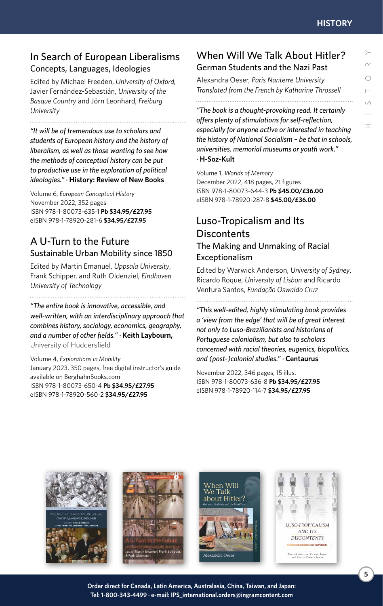### [In Search of European Liberalisms](http://www.berghahnbooks.com/title/FreedenIn) Concepts, Languages, Ideologies

Edited by Michael Freeden, *University of Oxford,* Javier Fernández-Sebastián, *University of the Basque Country* and Jörn Leonhard, *Freiburg University*

*"It will be of tremendous use to scholars and students of European history and the history of liberalism, as well as those wanting to see how the methods of conceptual history can be put to productive use in the exploration of political ideologies." ·* **History: Review of New Books**

Volume 6, *European Conceptual History* November 2022, 352 pages ISBN 978-1-80073-635-1 **Pb \$34.95/£27.95** eISBN 978-1-78920-281-6 **\$34.95/£27.95**

### A U-Turn to the Future [Sustainable Urban Mobility since 1850](http://www.berghahnbooks.com/title/EmanuelU-Turn)

Edited by Martin Emanuel, *Uppsala University*, Frank Schipper, and Ruth Oldenziel, *Eindhoven University of Technology*

*"The entire book is innovative, accessible, and well-written, with an interdisciplinary approach that combines history, sociology, economics, geography, and a number of other fields." ·* **Keith Laybourn,** University of Huddersfield

Volume 4, *Explorations in Mobility* January 2023, 350 pages, free digital instructor's guide available on BerghahnBooks.com ISBN 978-1-80073-650-4 **Pb \$34.95/£27.95** eISBN 978-1-78920-560-2 **\$34.95/£27.95**

### [When Will We Talk About Hitler?](http://www.berghahnbooks.com/title/OeserWhen) German Students and the Nazi Past

Alexandra Oeser, *Paris Nanterre University Translated from the French by Katharine Throssell* 

*"The book is a thought-provoking read. It certainly offers plenty of stimulations for self-reflection, especially for anyone active or interested in teaching the history of National Socialism – be that in schools, universities, memorial museums or youth work." ·* **H-Soz-Kult**

Volume 1, *Worlds of Memory* December 2022, 418 pages, 21 figures ISBN 978-1-80073-644-3 **Pb \$45.00/£36.00** eISBN 978-1-78920-287-8 **\$45.00/£36.00**

### Luso-Tropicalism and Its **Discontents** [The Making and Unmaking of Racial](http://www.berghahnbooks.com/title/AndersonLuso-Tropicalism)  Exceptionalism

Edited by Warwick Anderson, *University of Sydney*, Ricardo Roque, *University of Lisbon* and Ricardo Ventura Santos, *Fundação Oswaldo Cruz*

*"This well-edited, highly stimulating book provides a 'view from the edge' that will be of great interest not only to Luso-Brazilianists and historians of Portuguese colonialism, but also to scholars concerned with racial theories, eugenics, biopolitics, and (post-)colonial studies." ·* **Centaurus**

November 2022, 346 pages, 15 illus. ISBN 978-1-80073-636-8 **Pb \$34.95/£27.95** eISBN 978-1-78920-114-7 **\$34.95/£27.95**



**Order direct for Canada, Latin America, Australasia, China, Taiwan, and Japan: Tel: 1-800-343-4499 · e-mail: IPS\_international.orders@ingramcontent.com**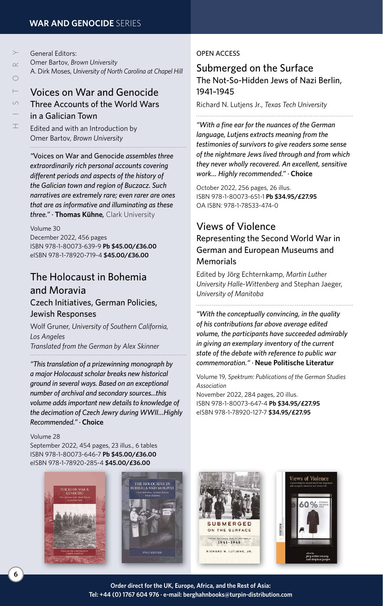| $\succ$   | General Editors:                                                                                                                                                                                                              |
|-----------|-------------------------------------------------------------------------------------------------------------------------------------------------------------------------------------------------------------------------------|
| $\alpha$  | Omer Bartov, Brown University                                                                                                                                                                                                 |
|           | A. Dirk Moses, University of North Carolina at Chapel Hill                                                                                                                                                                    |
| $\bigcap$ |                                                                                                                                                                                                                               |
| $\vdash$  | <b>Voices on War and Genocide</b>                                                                                                                                                                                             |
| $\cup$    | Three Accounts of the World Wars                                                                                                                                                                                              |
|           | in a Galician Town                                                                                                                                                                                                            |
| ⊥         | Fighters of the control of the control of the control of the control of the control of the control of the control of the control of the control of the control of the control of the control of the control of the control of |

# [Voices on War and Genocide](http://www.berghahnbooks.com/title/BartovVoices)

# Three Accounts of the World Wars

Edited and with an Introduction by Omer Bartov, *Brown University*

*"*Voices on War and Genocide *assembles three extraordinarily rich personal accounts covering different periods and aspects of the history of the Galician town and region of Buczacz. Such narratives are extremely rare; even rarer are ones that are as informative and illuminating as these three." ·* **Thomas Kühne***,* Clark University

#### Volume 30

December 2022, 456 pages ISBN 978-1-80073-639-9 **Pb \$45.00/£36.00** eISBN 978-1-78920-719-4 **\$45.00/£36.00**

# [The Holocaust in Bohemia](http://www.berghahnbooks.com/title/GrunerHolocaust)  and Moravia

### Czech Initiatives, German Policies, Jewish Responses

Wolf Gruner, *University of Southern California, Los Angeles [Translated from the German by Alex Skinner](http://www.berghahnbooks.com/title/GrunerHolocaust)*

*"This translation of a prizewinning monograph by a major Holocaust scholar breaks new historical ground in several ways. Based on an exceptional number of archival and secondary sources...this volume adds important new details to knowledge of the decimation of Czech Jewry during WWII…Highly Recommended." ·* **Choice**

### Volume 28

September 2022, 454 pages, 23 illus., 6 tables ISBN 978-1-80073-646-7 **Pb \$45.00/£36.00** eISBN 978-1-78920-285-4 **\$45.00/£36.00**





### OPEN ACCESS

### Submerged on the Surface [The Not-So-Hidden Jews of Nazi Berlin,](https://www.berghahnbooks.com/title/LutjensSubmerged)  1941–1945

Richard N. Lutjens Jr., *Texas Tech University*

*"With a fine ear for the nuances of the German language, Lutjens extracts meaning from the testimonies of survivors to give readers some sense of the nightmare Jews lived through and from which they never wholly recovered. An excellent, sensitive work… Highly recommended." ·* **Choice**

October 2022, 256 pages, 26 illus. ISBN 978-1-80073-651-1 **Pb \$34.95/£27.95** OA ISBN: 978-1-78533-474-0

### Views of Violence

[Representing the Second World War in](http://www.berghahnbooks.com/title/EchternkampViews)  German and European Museums and **Memorials** 

Edited by Jörg Echternkamp, *Martin Luther University Halle-Wittenberg* and Stephan Jaeger, *University of Manitoba*

*"With the conceptually convincing, in the quality of his contributions far above average edited volume, the participants have succeeded admirably in giving an exemplary inventory of the current state of the debate with reference to public war commemoration." ·* **Neue Politische Literatur**

Volume 19, *Spektrum: Publications of the German Studies Association*

November 2022, 284 pages, 20 illus. ISBN 978-1-80073-647-4 **Pb \$34.95/£27.95** eISBN 978-1-78920-127-7 **\$34.95/£27.95**



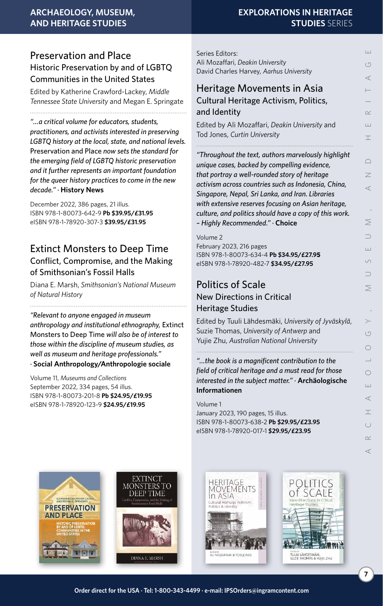### Preservation and Place [Historic Preservation by and of LGBTQ](http://www.berghahnbooks.com/title/Crawford-LackeyPreservation)  Communities in the United States

Edited by Katherine Crawford-Lackey, *Middle Tennessee State University* and Megan E. Springate 

*"…a critical volume for educators, students, practitioners, and activists interested in preserving LGBTQ history at the local, state, and national levels.*  Preservation and Place *now sets the standard for the emerging field of LGBTQ historic preservation and it further represents an important foundation for the queer history practices to come in the new decade." ·* **History News**

December 2022, 386 pages, 21 illus. ISBN 978-1-80073-642-9 **Pb \$39.95/£31.95** eISBN 978-1-78920-307-3 **\$39.95/£31.95**

### [Extinct Monsters to Deep Time](http://www.berghahnbooks.com/title/MarshExtinct) Conflict, Compromise, and the Making of Smithsonian's Fossil Halls

Diana E. Marsh, *Smithsonian's National Museum of Natural History*

*"Relevant to anyone engaged in museum anthropology and institutional ethnography,* Extinct Monsters to Deep Time *will also be of interest to those within the discipline of museum studies, as well as museum and heritage professionals." ·* **Social Anthropology/Anthropologie sociale**

Volume 11, *Museums and Collections* September 2022, 334 pages, 54 illus. ISBN 978-1-80073-201-8 **Pb \$24.95/£19.95** eISBN 978-1-78920-123-9 **\$24.95/£19.95**

### **EXPLORATIONS IN HERITAGE STUDIES** SERIES

Ш ARCHAEOLOGY, MUSEUM, AND HERITAGE  $\circ$  $\prec$  $\alpha$ Ш  $\top$  $\bigcirc$ Z  $\prec$  $\leq$  $\overline{\phantom{0}}$  $\pm$  $\circ$ ⊃ ⋝  $\circ$  $\bigcap$  $\overline{\phantom{0}}$  $\bigcirc$  $\pm$  $\prec$ T

Series Editors: Ali Mozaffari, *Deakin University* David Charles Harvey, *Aarhus University*

### [Heritage Movements in Asia](http://www.berghahnbooks.com/title/MozaffariHeritage) Cultural Heritage Activism, Politics, and Identity

Edited by Ali Mozaffari, *Deakin University* and Tod Jones, *Curtin University*

*"Throughout the text, authors marvelously highlight unique cases, backed by compelling evidence, that portray a well-rounded story of heritage activism across countries such as Indonesia, China, Singapore, Nepal, Sri Lanka, and Iran. Libraries with extensive reserves focusing on Asian heritage, culture, and politics should have a copy of this work. – Highly Recommended." ·* **Choice**

Volume 2 February 2023, 216 pages ISBN 978-1-80073-634-4 **Pb \$34.95/£27.95** eISBN 978-1-78920-482-7 **\$34.95/£27.95**

### Politics of Scale [New Directions in Critical](http://www.berghahnbooks.com/title/LahdesmakiPolitics)  Heritage Studies

Edited by Tuuli Lähdesmäki, *University of Jyväskylä*, Suzie Thomas, *University of Antwerp* and Yujie Zhu, *Australian National University*

*"…the book is a magnificent contribution to the field of critical heritage and a must read for those interested in the subject matter." ·* **Archäologische Informationen**

### Volume 1

January 2023, 190 pages, 15 illus. ISBN 978-1-80073-638-2 **Pb \$29.95/£23.95** eISBN 978-1-78920-017-1 **\$29.95/£23.95**









 $( )$  $\sim$  $\overline{a}$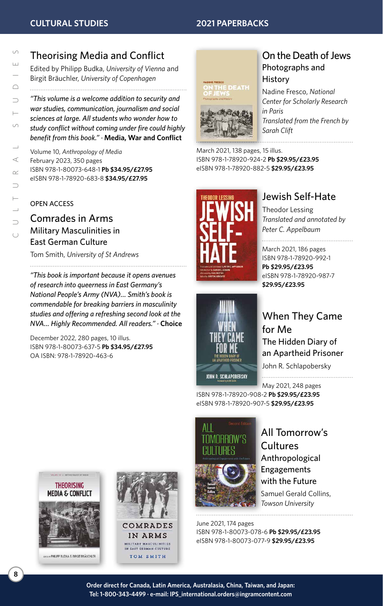# [Theorising Media and Conflict](https://www.berghahnbooks.com/title/BudkaTheorising)

Edited by Philipp Budka, *University of Vienna* and Birgit Bräuchler, *University of Copenhagen*

*"This volume is a welcome addition to security and war studies, communication, journalism and social sciences at large. All students who wonder how to study conflict without coming under fire could highly benefit from this book." ·* **Media, War and Conflict**

Volume 10, *Anthropology of Media* February 2023, 350 pages ISBN 978-1-80073-648-1 **Pb \$34.95/£27.95** eISBN 978-1-78920-683-8 **\$34.95/£27.95**

### OPEN ACCESS

[Comrades in Arms](https://www.berghahnbooks.com/title/SmithComrades) Military Masculinities in East German Culture

Tom Smith, *University of St Andrews* 

*"This book is important because it opens avenues of research into queerness in East Germany's National People's Army (NVA)… Smith's book is commendable for breaking barriers in masculinity studies and offering a refreshing second look at the NVA… Highly Recommended. All readers." ·* **Choice**

December 2022, 280 pages, 10 illus. ISBN 978-1-80073-637-5 **Pb \$34.95/£27.95** OA ISBN: 978-1-78920-463-6



### [On the Death of Jews](http://www.berghahnbooks.com/title/FrescoOn) Photographs and **History**

Nadine Fresco, *National Center for Scholarly Research in Paris Translated from the French by Sarah Clift*

March 2021, 138 pages, 15 illus. ISBN 978-1-78920-924-2 **Pb \$29.95/£23.95** eISBN 978-1-78920-882-5 **\$29.95/£23.95**



### [Jewish Self-Hate](http://www.berghahnbooks.com/title/LessingJewish)

Theodor Lessing *Translated and annotated by Peter C. Appelbaum*

#### March 2021, 186 pages

ISBN 978-1-78920-992-1 **Pb \$29.95/£23.95** eISBN 978-1-78920-987-7 **\$29.95/£23.95**



[When They Came](http://www.berghahnbooks.com/title/SchlapoberskyWhen)  for Me The Hidden Diary of an Apartheid Prisoner

John R. Schlapobersky

May 2021, 248 pages

ISBN 978-1-78920-908-2 **Pb \$29.95/£23.95** eISBN 978-1-78920-907-5 **\$29.95/£23.95**



[All Tomorrow's](http://www.berghahnbooks.com/title/CollinsAll2nd)  **Cultures** Anthropological Engagements with the Future Samuel Gerald Collins, *Towson University*

June 2021, 174 pages ISBN 978-1-80073-078-6 **Pb \$29.95/£23.95** eISBN 978-1-80073-077-9 **\$29.95/£23.95**



**PHILIPP BUDKA & BIRGIT BRÄUCHLER** 

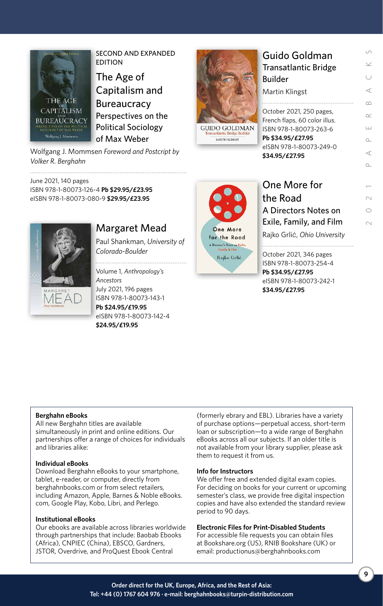

SECOND AND EXPANDED EDITION

The Age of [Capitalism and](http://www.berghahnbooks.com/title/MommsenAge)  **Bureaucracy** Perspectives on the Political Sociology of Max Weber

Wolfgang J. Mommsen *Foreword and Postcript by Volker R. Berghahn* 

June 2021, 140 pages ISBN 978-1-80073-126-4 **Pb \$29.95/£23.95** eISBN 978-1-80073-080-9 **\$29.95/£23.95**



### [Margaret Mead](http://www.berghahnbooks.com/title/ShankmanMargaret)

Paul Shankman, *University of Colorado-Boulder*

Volume 1, *Anthropology's* 

*Ancestors* July 2021, 196 pages ISBN 978-1-80073-143-1 **Pb \$24.95/£19.95** eISBN 978-1-80073-142-4 **\$24.95/£19.95**



**GUIDO GOLDMAN** 

MARTIN KLINGST

| Guido Goldman<br><b>Transatlantic Bridge</b><br><b>Builder</b>                                           |  |
|----------------------------------------------------------------------------------------------------------|--|
| Martin Klingst                                                                                           |  |
| October 2021, 250 pages,<br>French flaps, 60 color illus.<br>ISBN 978-1-80073-263-6<br>Pb \$34.95/£27.95 |  |

2021 PAPERBACKS

 $\sim$  $\bigcap$  $\sim$ 

 $\sim$  $\prec$  $\cap$ 

S

⋖

 $\infty$ 

 $\sim$ 

 $\pm$ 

eISBN 978-1-80073-249-0 **\$34.95/£27.95**

[One More for](http://www.berghahnbooks.com/title/GrlicOne)  the Road A Directors Notes on Exile, Family, and Film Rajko Grlić, *Ohio University*

October 2021, 346 pages ISBN 978-1-80073-254-4 **Pb \$34.95/£27.95** eISBN 978-1-80073-242-1 **\$34.95/£27.95**

### **Berghahn eBooks**

All new Berghahn titles are available simultaneously in print and online editions. Our partnerships offer a range of choices for individuals and libraries alike:

### **Individual eBooks**

Download Berghahn eBooks to your smartphone, tablet, e-reader, or computer, directly from berghahnbooks.com or from select retailers, including Amazon, Apple, Barnes & Noble eBooks. com, Google Play, Kobo, Libri, and Perlego.

### **Institutional eBooks**

Our ebooks are available across libraries worldwide through partnerships that include: Baobab Ebooks (Africa), CNPIEC (China), EBSCO, Gardners, JSTOR, Overdrive, and ProQuest Ebook Central

(formerly ebrary and EBL). Libraries have a variety of purchase options—perpetual access, short-term loan or subscription—to a wide range of Berghahn eBooks across all our subjects. If an older title is not available from your library supplier, please ask them to request it from us.

### **Info for Instructors**

We offer free and extended digital exam copies. For deciding on books for your current or upcoming semester's class, we provide free digital inspection copies and have also extended the standard review period to 90 days.

#### **Electronic Files for Print-Disabled Students**

For accessible file requests you can obtain files at Bookshare.org (US), RNIB Bookshare (UK) or email: productionus@berghahnbooks.com